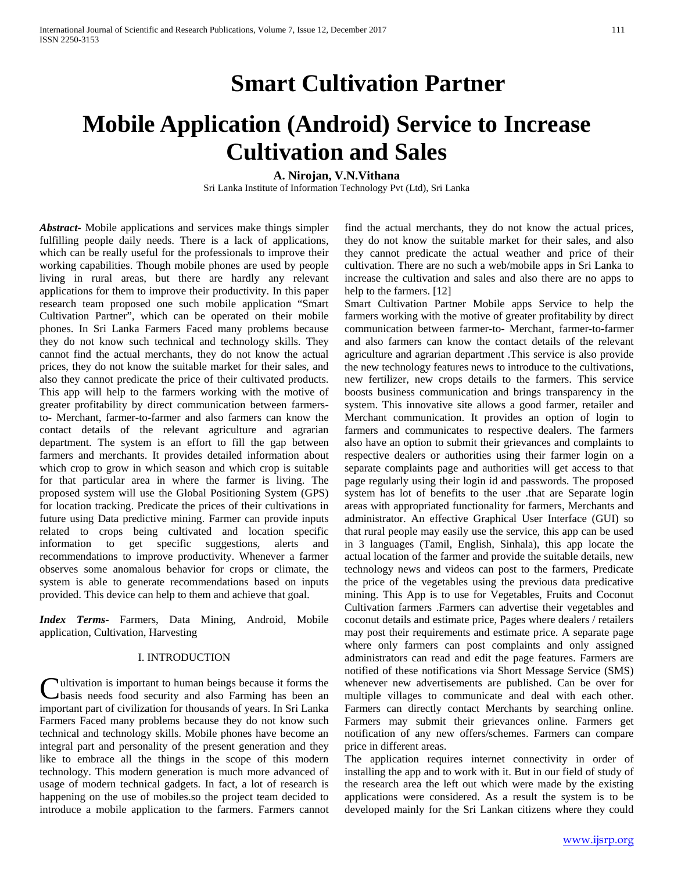## **Smart Cultivation Partner**

# **Mobile Application (Android) Service to Increase Cultivation and Sales**

**A. Nirojan, V.N.Vithana** Sri Lanka Institute of Information Technology Pvt (Ltd), Sri Lanka

*Abstract***-** Mobile applications and services make things simpler fulfilling people daily needs. There is a lack of applications, which can be really useful for the professionals to improve their working capabilities. Though mobile phones are used by people living in rural areas, but there are hardly any relevant applications for them to improve their productivity. In this paper research team proposed one such mobile application "Smart Cultivation Partner", which can be operated on their mobile phones. In Sri Lanka Farmers Faced many problems because they do not know such technical and technology skills. They cannot find the actual merchants, they do not know the actual prices, they do not know the suitable market for their sales, and also they cannot predicate the price of their cultivated products. This app will help to the farmers working with the motive of greater profitability by direct communication between farmersto- Merchant, farmer-to-farmer and also farmers can know the contact details of the relevant agriculture and agrarian department. The system is an effort to fill the gap between farmers and merchants. It provides detailed information about which crop to grow in which season and which crop is suitable for that particular area in where the farmer is living. The proposed system will use the Global Positioning System (GPS) for location tracking. Predicate the prices of their cultivations in future using Data predictive mining. Farmer can provide inputs related to crops being cultivated and location specific information to get specific suggestions, alerts and recommendations to improve productivity. Whenever a farmer observes some anomalous behavior for crops or climate, the system is able to generate recommendations based on inputs provided. This device can help to them and achieve that goal.

*Index Terms*- Farmers, Data Mining, Android, Mobile application, Cultivation, Harvesting

## I. INTRODUCTION

Cultivation is important to human beings because it forms the basis needs food security and also Farming has been an basis needs food security and also Farming has been an important part of civilization for thousands of years. In Sri Lanka Farmers Faced many problems because they do not know such technical and technology skills. Mobile phones have become an integral part and personality of the present generation and they like to embrace all the things in the scope of this modern technology. This modern generation is much more advanced of usage of modern technical gadgets. In fact, a lot of research is happening on the use of mobiles.so the project team decided to introduce a mobile application to the farmers. Farmers cannot

find the actual merchants, they do not know the actual prices, they do not know the suitable market for their sales, and also they cannot predicate the actual weather and price of their cultivation. There are no such a web/mobile apps in Sri Lanka to increase the cultivation and sales and also there are no apps to help to the farmers. [12]

Smart Cultivation Partner Mobile apps Service to help the farmers working with the motive of greater profitability by direct communication between farmer-to- Merchant, farmer-to-farmer and also farmers can know the contact details of the relevant agriculture and agrarian department .This service is also provide the new technology features news to introduce to the cultivations, new fertilizer, new crops details to the farmers. This service boosts business communication and brings transparency in the system. This innovative site allows a good farmer, retailer and Merchant communication. It provides an option of login to farmers and communicates to respective dealers. The farmers also have an option to submit their grievances and complaints to respective dealers or authorities using their farmer login on a separate complaints page and authorities will get access to that page regularly using their login id and passwords. The proposed system has lot of benefits to the user .that are Separate login areas with appropriated functionality for farmers, Merchants and administrator. An effective Graphical User Interface (GUI) so that rural people may easily use the service, this app can be used in 3 languages (Tamil, English, Sinhala), this app locate the actual location of the farmer and provide the suitable details, new technology news and videos can post to the farmers, Predicate the price of the vegetables using the previous data predicative mining. This App is to use for Vegetables, Fruits and Coconut Cultivation farmers .Farmers can advertise their vegetables and coconut details and estimate price, Pages where dealers / retailers may post their requirements and estimate price. A separate page where only farmers can post complaints and only assigned administrators can read and edit the page features. Farmers are notified of these notifications via Short Message Service (SMS) whenever new advertisements are published. Can be over for multiple villages to communicate and deal with each other. Farmers can directly contact Merchants by searching online. Farmers may submit their grievances online. Farmers get notification of any new offers/schemes. Farmers can compare price in different areas.

The application requires internet connectivity in order of installing the app and to work with it. But in our field of study of the research area the left out which were made by the existing applications were considered. As a result the system is to be developed mainly for the Sri Lankan citizens where they could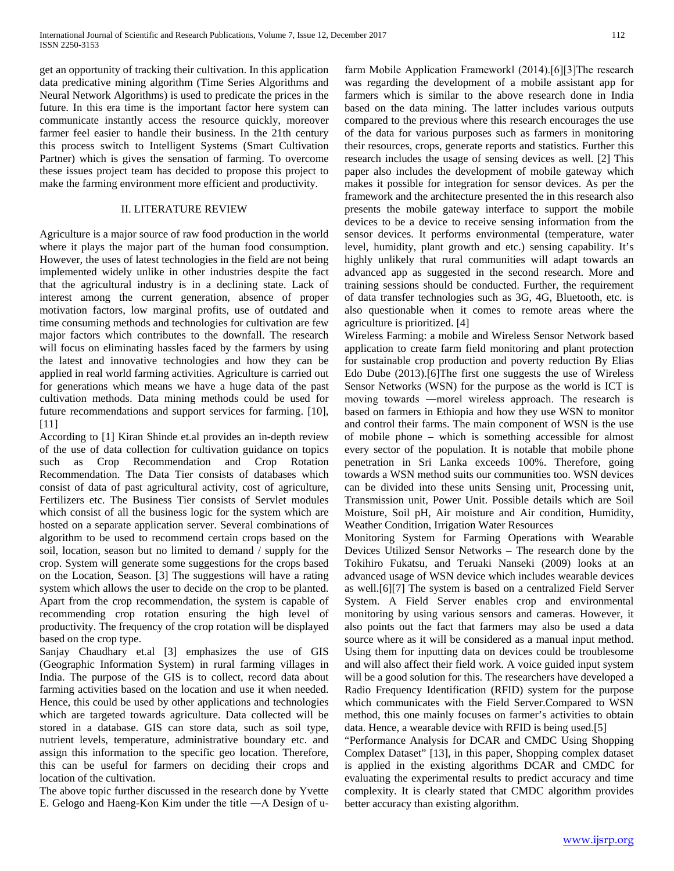get an opportunity of tracking their cultivation. In this application data predicative mining algorithm (Time Series Algorithms and Neural Network Algorithms) is used to predicate the prices in the future. In this era time is the important factor here system can communicate instantly access the resource quickly, moreover farmer feel easier to handle their business. In the 21th century this process switch to Intelligent Systems (Smart Cultivation Partner) which is gives the sensation of farming. To overcome these issues project team has decided to propose this project to make the farming environment more efficient and productivity.

## II. LITERATURE REVIEW

Agriculture is a major source of raw food production in the world where it plays the major part of the human food consumption. However, the uses of latest technologies in the field are not being implemented widely unlike in other industries despite the fact that the agricultural industry is in a declining state. Lack of interest among the current generation, absence of proper motivation factors, low marginal profits, use of outdated and time consuming methods and technologies for cultivation are few major factors which contributes to the downfall. The research will focus on eliminating hassles faced by the farmers by using the latest and innovative technologies and how they can be applied in real world farming activities. Agriculture is carried out for generations which means we have a huge data of the past cultivation methods. Data mining methods could be used for future recommendations and support services for farming. [10], [11]

According to [1] Kiran Shinde et.al provides an in-depth review of the use of data collection for cultivation guidance on topics such as Crop Recommendation and Crop Rotation Recommendation. The Data Tier consists of databases which consist of data of past agricultural activity, cost of agriculture, Fertilizers etc. The Business Tier consists of Servlet modules which consist of all the business logic for the system which are hosted on a separate application server. Several combinations of algorithm to be used to recommend certain crops based on the soil, location, season but no limited to demand / supply for the crop. System will generate some suggestions for the crops based on the Location, Season. [3] The suggestions will have a rating system which allows the user to decide on the crop to be planted. Apart from the crop recommendation, the system is capable of recommending crop rotation ensuring the high level of productivity. The frequency of the crop rotation will be displayed based on the crop type.

Sanjay Chaudhary et.al [3] emphasizes the use of GIS (Geographic Information System) in rural farming villages in India. The purpose of the GIS is to collect, record data about farming activities based on the location and use it when needed. Hence, this could be used by other applications and technologies which are targeted towards agriculture. Data collected will be stored in a database. GIS can store data, such as soil type, nutrient levels, temperature, administrative boundary etc. and assign this information to the specific geo location. Therefore, this can be useful for farmers on deciding their crops and location of the cultivation.

The above topic further discussed in the research done by Yvette E. Gelogo and Haeng-Kon Kim under the title ―A Design of ufarm Mobile Application Framework‖ (2014).[6][3]The research was regarding the development of a mobile assistant app for farmers which is similar to the above research done in India based on the data mining. The latter includes various outputs compared to the previous where this research encourages the use of the data for various purposes such as farmers in monitoring their resources, crops, generate reports and statistics. Further this research includes the usage of sensing devices as well. [2] This paper also includes the development of mobile gateway which makes it possible for integration for sensor devices. As per the framework and the architecture presented the in this research also presents the mobile gateway interface to support the mobile devices to be a device to receive sensing information from the sensor devices. It performs environmental (temperature, water level, humidity, plant growth and etc.) sensing capability. It's highly unlikely that rural communities will adapt towards an advanced app as suggested in the second research. More and training sessions should be conducted. Further, the requirement of data transfer technologies such as 3G, 4G, Bluetooth, etc. is also questionable when it comes to remote areas where the agriculture is prioritized. [4]

Wireless Farming: a mobile and Wireless Sensor Network based application to create farm field monitoring and plant protection for sustainable crop production and poverty reduction By Elias Edo Dube (2013).[6]The first one suggests the use of Wireless Sensor Networks (WSN) for the purpose as the world is ICT is moving towards ―more‖ wireless approach. The research is based on farmers in Ethiopia and how they use WSN to monitor and control their farms. The main component of WSN is the use of mobile phone – which is something accessible for almost every sector of the population. It is notable that mobile phone penetration in Sri Lanka exceeds 100%. Therefore, going towards a WSN method suits our communities too. WSN devices can be divided into these units Sensing unit, Processing unit, Transmission unit, Power Unit. Possible details which are Soil Moisture, Soil pH, Air moisture and Air condition, Humidity, Weather Condition, Irrigation Water Resources

Monitoring System for Farming Operations with Wearable Devices Utilized Sensor Networks – The research done by the Tokihiro Fukatsu, and Teruaki Nanseki (2009) looks at an advanced usage of WSN device which includes wearable devices as well.[6][7] The system is based on a centralized Field Server System. A Field Server enables crop and environmental monitoring by using various sensors and cameras. However, it also points out the fact that farmers may also be used a data source where as it will be considered as a manual input method. Using them for inputting data on devices could be troublesome and will also affect their field work. A voice guided input system will be a good solution for this. The researchers have developed a Radio Frequency Identification (RFID) system for the purpose which communicates with the Field Server.Compared to WSN method, this one mainly focuses on farmer's activities to obtain data. Hence, a wearable device with RFID is being used.[5]

"Performance Analysis for DCAR and CMDC Using Shopping Complex Dataset" [13], in this paper, Shopping complex dataset is applied in the existing algorithms DCAR and CMDC for evaluating the experimental results to predict accuracy and time complexity. It is clearly stated that CMDC algorithm provides better accuracy than existing algorithm.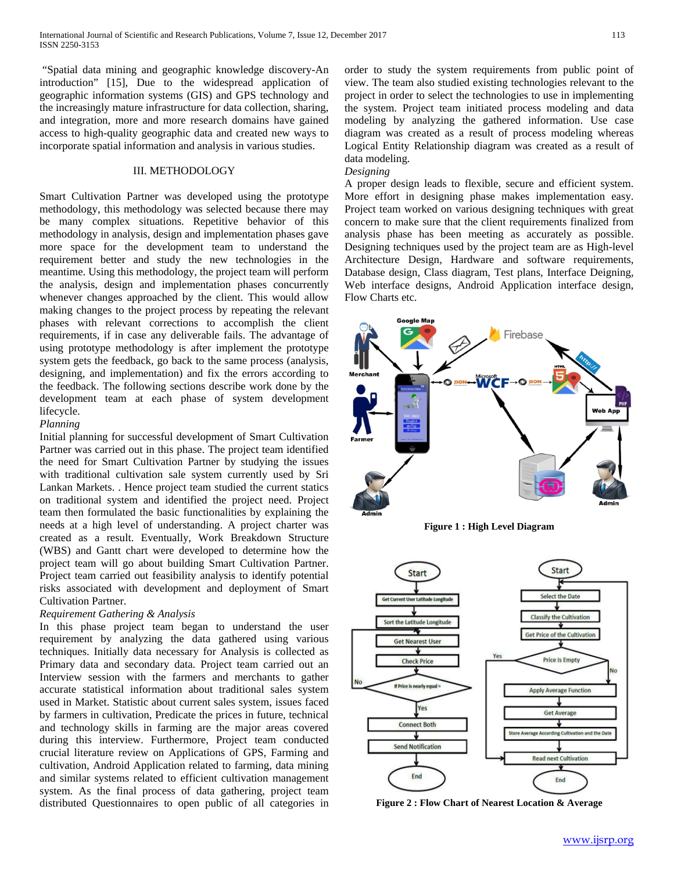"Spatial data mining and geographic knowledge discovery-An introduction" [15], Due to the widespread application of geographic information systems (GIS) and GPS technology and the increasingly mature infrastructure for data collection, sharing, and integration, more and more research domains have gained access to high-quality geographic data and created new ways to incorporate spatial information and analysis in various studies.

## III. METHODOLOGY

Smart Cultivation Partner was developed using the prototype methodology, this methodology was selected because there may be many complex situations. Repetitive behavior of this methodology in analysis, design and implementation phases gave more space for the development team to understand the requirement better and study the new technologies in the meantime. Using this methodology, the project team will perform the analysis, design and implementation phases concurrently whenever changes approached by the client. This would allow making changes to the project process by repeating the relevant phases with relevant corrections to accomplish the client requirements, if in case any deliverable fails. The advantage of using prototype methodology is after implement the prototype system gets the feedback, go back to the same process (analysis, designing, and implementation) and fix the errors according to the feedback. The following sections describe work done by the development team at each phase of system development lifecycle.

## *Planning*

Initial planning for successful development of Smart Cultivation Partner was carried out in this phase. The project team identified the need for Smart Cultivation Partner by studying the issues with traditional cultivation sale system currently used by Sri Lankan Markets. . Hence project team studied the current statics on traditional system and identified the project need. Project team then formulated the basic functionalities by explaining the needs at a high level of understanding. A project charter was created as a result. Eventually, Work Breakdown Structure (WBS) and Gantt chart were developed to determine how the project team will go about building Smart Cultivation Partner. Project team carried out feasibility analysis to identify potential risks associated with development and deployment of Smart Cultivation Partner.

## *Requirement Gathering & Analysis*

In this phase project team began to understand the user requirement by analyzing the data gathered using various techniques. Initially data necessary for Analysis is collected as Primary data and secondary data. Project team carried out an Interview session with the farmers and merchants to gather accurate statistical information about traditional sales system used in Market. Statistic about current sales system, issues faced by farmers in cultivation, Predicate the prices in future, technical and technology skills in farming are the major areas covered during this interview. Furthermore, Project team conducted crucial literature review on Applications of GPS, Farming and cultivation, Android Application related to farming, data mining and similar systems related to efficient cultivation management system. As the final process of data gathering, project team distributed Questionnaires to open public of all categories in

order to study the system requirements from public point of view. The team also studied existing technologies relevant to the project in order to select the technologies to use in implementing the system. Project team initiated process modeling and data modeling by analyzing the gathered information. Use case diagram was created as a result of process modeling whereas Logical Entity Relationship diagram was created as a result of data modeling.

## *Designing*

A proper design leads to flexible, secure and efficient system. More effort in designing phase makes implementation easy. Project team worked on various designing techniques with great concern to make sure that the client requirements finalized from analysis phase has been meeting as accurately as possible. Designing techniques used by the project team are as High-level Architecture Design, Hardware and software requirements, Database design, Class diagram, Test plans, Interface Deigning, Web interface designs, Android Application interface design, Flow Charts etc.



**Figure 1 : High Level Diagram**



**Figure 2 : Flow Chart of Nearest Location & Average**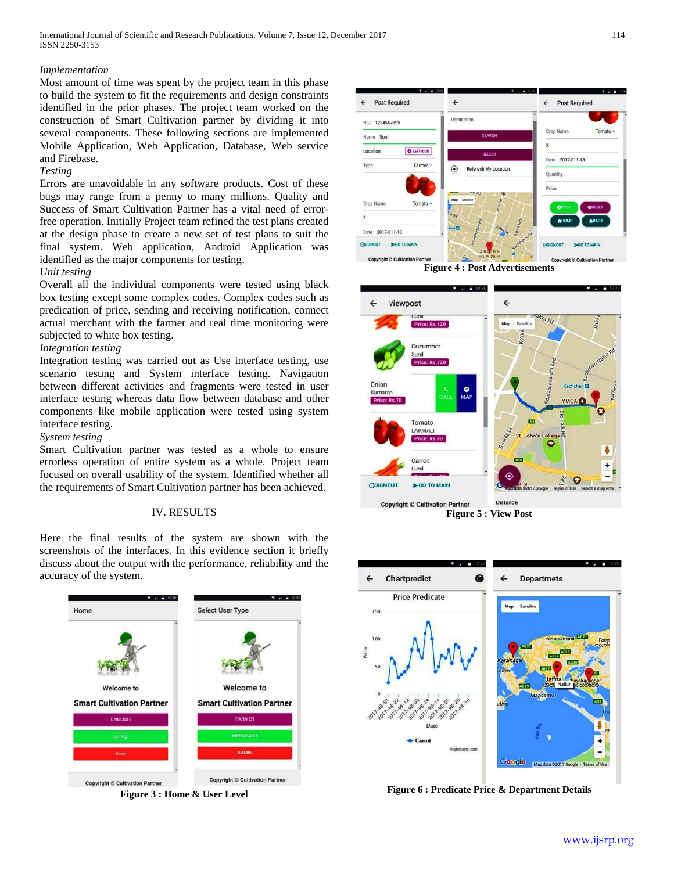## *Implementation*

Most amount of time was spent by the project team in this phase to build the system to fit the requirements and design constraints identified in the prior phases. The project team worked on the construction of Smart Cultivation partner by dividing it into several components. These following sections are implemented Mobile Application, Web Application, Database, Web service and Firebase.

## *Testing*

Errors are unavoidable in any software products. Cost of these bugs may range from a penny to many millions. Quality and Success of Smart Cultivation Partner has a vital need of errorfree operation. Initially Project team refined the test plans created at the design phase to create a new set of test plans to suit the final system. Web application, Android Application was identified as the major components for testing.

## *Unit testing*

Overall all the individual components were tested using black box testing except some complex codes. Complex codes such as predication of price, sending and receiving notification, connect actual merchant with the farmer and real time monitoring were subjected to white box testing.

## *Integration testing*

Integration testing was carried out as Use interface testing, use scenario testing and System interface testing. Navigation between different activities and fragments were tested in user interface testing whereas data flow between database and other components like mobile application were tested using system interface testing.

## *System testing*

Smart Cultivation partner was tested as a whole to ensure errorless operation of entire system as a whole. Project team focused on overall usability of the system. Identified whether all the requirements of Smart Cultivation partner has been achieved.

## IV. RESULTS

Here the final results of the system are shown with the screenshots of the interfaces. In this evidence section it briefly discuss about the output with the performance, reliability and the accuracy of the system.



**Figure 3 : Home & User Level**



**Figure 4 : Post Advertisements**





**Figure 6 : Predicate Price & Department Details**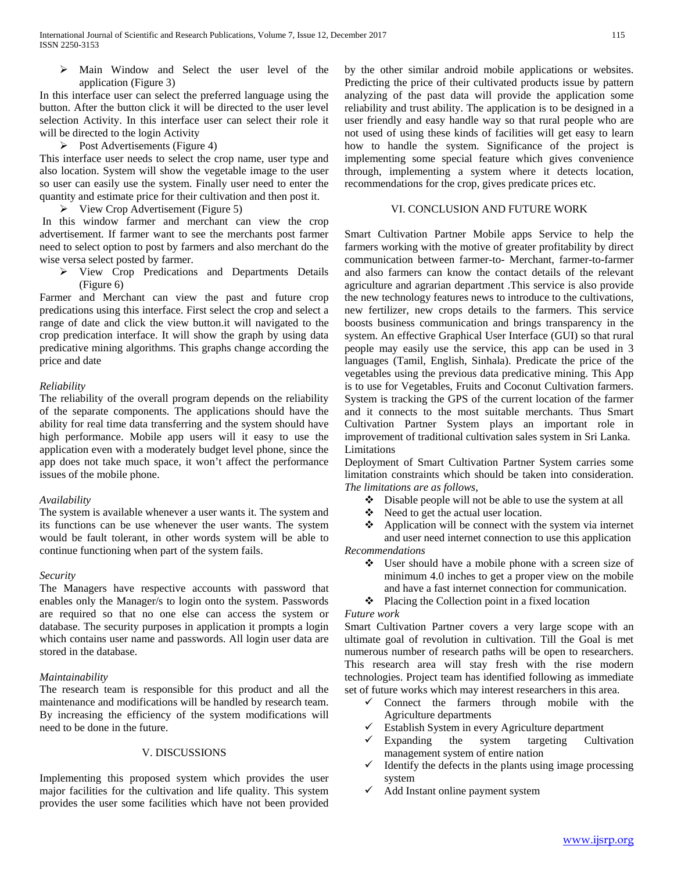Main Window and Select the user level of the application (Figure 3)

In this interface user can select the preferred language using the button. After the button click it will be directed to the user level selection Activity. In this interface user can select their role it will be directed to the login Activity

 $\triangleright$  Post Advertisements (Figure 4)

This interface user needs to select the crop name, user type and also location. System will show the vegetable image to the user so user can easily use the system. Finally user need to enter the quantity and estimate price for their cultivation and then post it.

View Crop Advertisement (Figure 5)

In this window farmer and merchant can view the crop advertisement. If farmer want to see the merchants post farmer need to select option to post by farmers and also merchant do the wise versa select posted by farmer.

 View Crop Predications and Departments Details (Figure 6)

Farmer and Merchant can view the past and future crop predications using this interface. First select the crop and select a range of date and click the view button.it will navigated to the crop predication interface. It will show the graph by using data predicative mining algorithms. This graphs change according the price and date

## *Reliability*

The reliability of the overall program depends on the reliability of the separate components. The applications should have the ability for real time data transferring and the system should have high performance. Mobile app users will it easy to use the application even with a moderately budget level phone, since the app does not take much space, it won't affect the performance issues of the mobile phone.

## *Availability*

The system is available whenever a user wants it. The system and its functions can be use whenever the user wants. The system would be fault tolerant, in other words system will be able to continue functioning when part of the system fails.

## *Security*

The Managers have respective accounts with password that enables only the Manager/s to login onto the system. Passwords are required so that no one else can access the system or database. The security purposes in application it prompts a login which contains user name and passwords. All login user data are stored in the database.

## *Maintainability*

The research team is responsible for this product and all the maintenance and modifications will be handled by research team. By increasing the efficiency of the system modifications will need to be done in the future.

## V. DISCUSSIONS

Implementing this proposed system which provides the user major facilities for the cultivation and life quality. This system provides the user some facilities which have not been provided by the other similar android mobile applications or websites. Predicting the price of their cultivated products issue by pattern analyzing of the past data will provide the application some reliability and trust ability. The application is to be designed in a user friendly and easy handle way so that rural people who are not used of using these kinds of facilities will get easy to learn how to handle the system. Significance of the project is implementing some special feature which gives convenience through, implementing a system where it detects location, recommendations for the crop, gives predicate prices etc.

## VI. CONCLUSION AND FUTURE WORK

Smart Cultivation Partner Mobile apps Service to help the farmers working with the motive of greater profitability by direct communication between farmer-to- Merchant, farmer-to-farmer and also farmers can know the contact details of the relevant agriculture and agrarian department .This service is also provide the new technology features news to introduce to the cultivations, new fertilizer, new crops details to the farmers. This service boosts business communication and brings transparency in the system. An effective Graphical User Interface (GUI) so that rural people may easily use the service, this app can be used in 3 languages (Tamil, English, Sinhala). Predicate the price of the vegetables using the previous data predicative mining. This App is to use for Vegetables, Fruits and Coconut Cultivation farmers. System is tracking the GPS of the current location of the farmer and it connects to the most suitable merchants. Thus Smart Cultivation Partner System plays an important role in improvement of traditional cultivation sales system in Sri Lanka. Limitations

Deployment of Smart Cultivation Partner System carries some limitation constraints which should be taken into consideration. *The limitations are as follows,*

- Disable people will not be able to use the system at all
- Need to get the actual user location.
- $\triangle$  Application will be connect with the system via internet and user need internet connection to use this application

*Recommendations*

- User should have a mobile phone with a screen size of minimum 4.0 inches to get a proper view on the mobile and have a fast internet connection for communication.
- $\triangle$  Placing the Collection point in a fixed location

#### *Future work*

Smart Cultivation Partner covers a very large scope with an ultimate goal of revolution in cultivation. Till the Goal is met numerous number of research paths will be open to researchers. This research area will stay fresh with the rise modern technologies. Project team has identified following as immediate set of future works which may interest researchers in this area.

- $\checkmark$  Connect the farmers through mobile with the Agriculture departments
- $\checkmark$  Establish System in every Agriculture department
- $\checkmark$  Expanding the system targeting Cultivation management system of entire nation
- $\checkmark$  Identify the defects in the plants using image processing system
- $\checkmark$  Add Instant online payment system